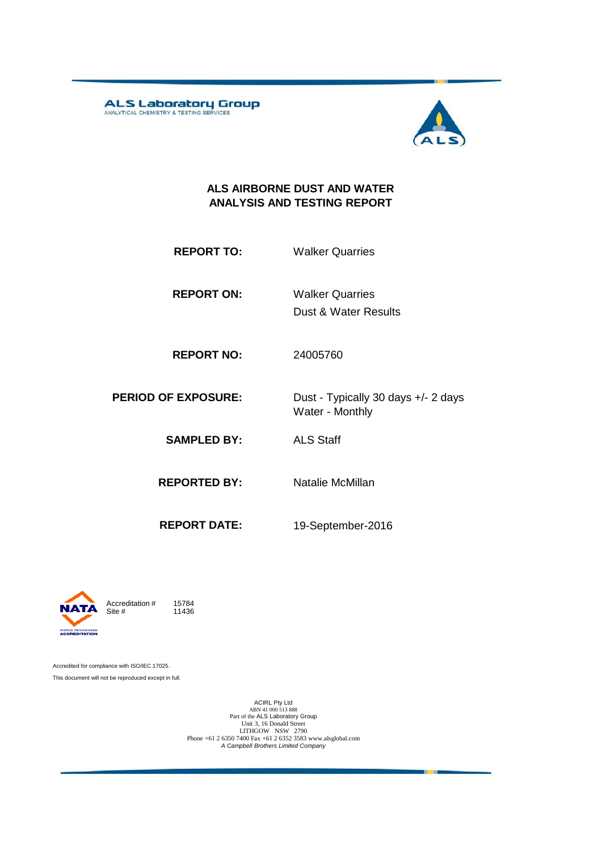ALS Laboratory Group



#### **ALS AIRBORNE DUST AND WATER ANALYSIS AND TESTING REPORT**

- **REPORT TO:** Walker Quarries
- **REPORT ON:** Dust & Water Results Walker Quarries
- **REPORT NO:** 24005760
- **PERIOD OF EXPOSURE:** Dust Typically 30 days +/- 2 days Water - Monthly
	- **SAMPLED BY:** ALS Staff
	- **REPORTED BY:** Natalie McMillan
		-
	- **REPORT DATE:**

19-September-2016



Accredited for compliance with ISO/IEC 17025. This document will not be reproduced except in full.

ACIRL Pty Ltd<br>
ABN 41 000 513 888<br>
Part of the ALS Laboratory Group<br>
Unit 3, 16 Donald Street<br>
LITHGOW NSW 2790<br>
Phone +61 2 6350 7400 Fax +61 2 6352 3583 www.alsglobal.com<br> *A Campbell Brothers Limited Company*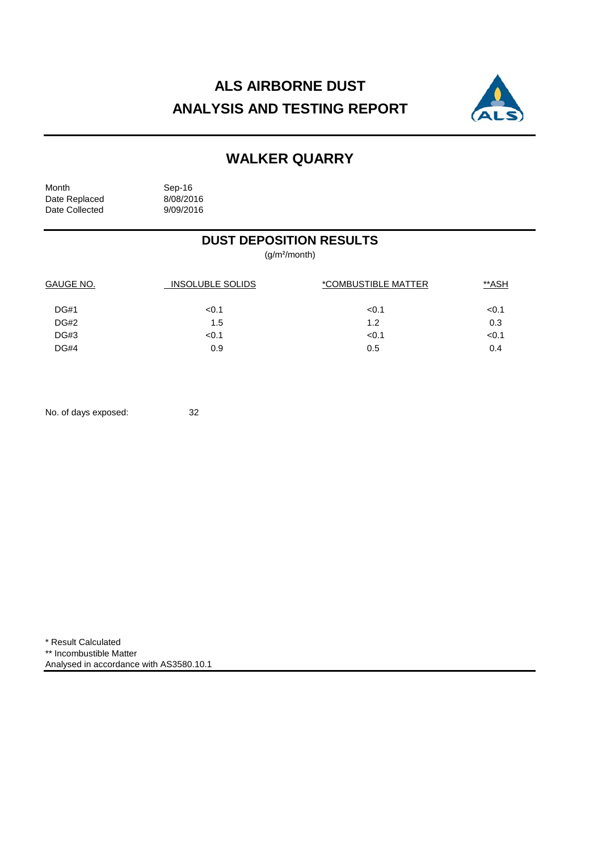## **ALS AIRBORNE DUST ANALYSIS AND TESTING REPORT**



### **WALKER QUARRY**

Month Sep-16<br>Date Replaced 8/08/2016 Date Replaced 8/08/2016<br>Date Collected 9/09/2016 Date Collected

### **DUST DEPOSITION RESULTS**

(g/m²/month)

| GAUGE NO.   | <b>INSOLUBLE SOLIDS</b> | *COMBUSTIBLE MATTER | <u>**ASH</u> |
|-------------|-------------------------|---------------------|--------------|
| <b>DG#1</b> | < 0.1                   | < 0.1               | < 0.1        |
| <b>DG#2</b> | 1.5                     | 1.2                 | 0.3          |
| DG#3        | < 0.1                   | < 0.1               | < 0.1        |
| DG#4        | 0.9                     | 0.5                 | 0.4          |

No. of days exposed: 32

\* Result Calculated \*\* Incombustible Matter Analysed in accordance with AS3580.10.1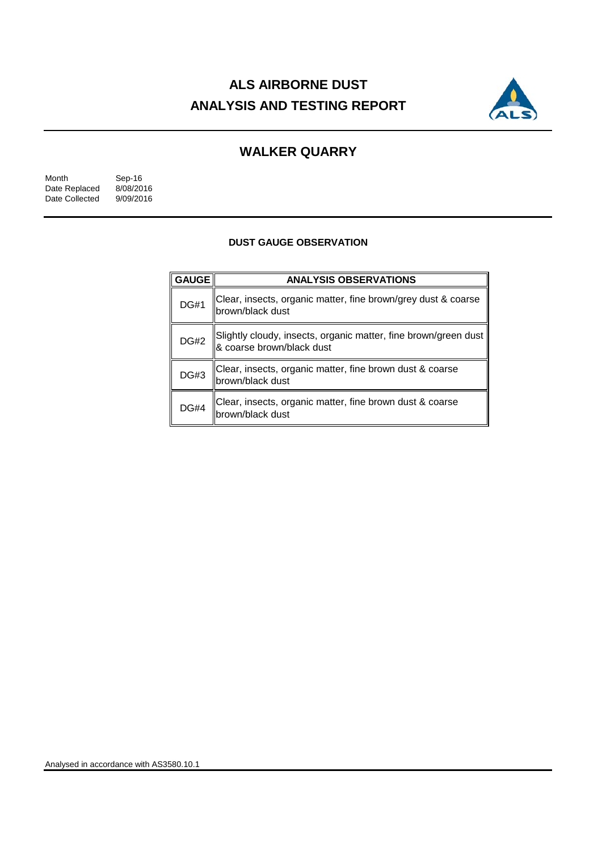## **ALS AIRBORNE DUST ANALYSIS AND TESTING REPORT**



### **WALKER QUARRY**

| Month          | Sep-16    |
|----------------|-----------|
| Date Replaced  | 8/08/2016 |
| Date Collected | 9/09/2016 |

#### **DUST GAUGE OBSERVATION**

| <b>GAUGE</b> | <b>ANALYSIS OBSERVATIONS</b>                                                                 |
|--------------|----------------------------------------------------------------------------------------------|
| <b>DG#1</b>  | Clear, insects, organic matter, fine brown/grey dust & coarse<br>brown/black dust            |
| DG#2         | Slightly cloudy, insects, organic matter, fine brown/green dust<br>8 coarse brown/black dust |
| <b>DG#3</b>  | Clear, insects, organic matter, fine brown dust & coarse<br>brown/black dust                 |
| <b>DG#4</b>  | Clear, insects, organic matter, fine brown dust & coarse<br>brown/black dust                 |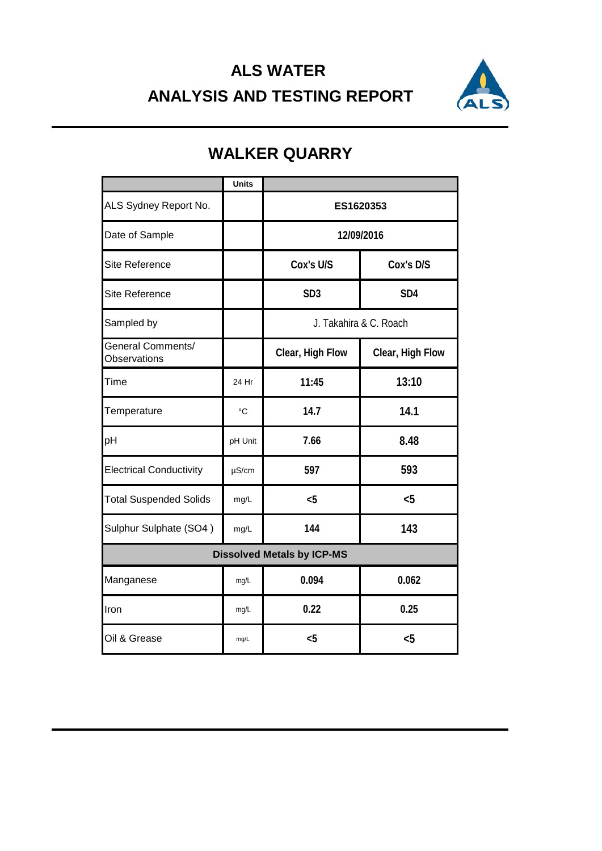# **ALS WATER ANALYSIS AND TESTING REPORT**



|                                          | <b>Units</b> |                        |                  |  |
|------------------------------------------|--------------|------------------------|------------------|--|
| ALS Sydney Report No.                    |              | ES1620353              |                  |  |
| Date of Sample                           |              | 12/09/2016             |                  |  |
| <b>Site Reference</b>                    |              | Cox's U/S              | Cox's D/S        |  |
| Site Reference                           |              | SD <sub>3</sub>        | SD <sub>4</sub>  |  |
| Sampled by                               |              | J. Takahira & C. Roach |                  |  |
| <b>General Comments/</b><br>Observations |              | Clear, High Flow       | Clear, High Flow |  |
| Time                                     | 24 Hr        | 11:45                  | 13:10            |  |
| Temperature                              | $^{\circ}C$  | 14.7                   | 14.1             |  |
| pH                                       | pH Unit      | 7.66                   | 8.48             |  |
| <b>Electrical Conductivity</b>           | $\mu$ S/cm   | 597                    | 593              |  |
| <b>Total Suspended Solids</b>            | mg/L         | $5$                    | $5$              |  |
| Sulphur Sulphate (SO4)                   | mg/L         | 144                    | 143              |  |
| <b>Dissolved Metals by ICP-MS</b>        |              |                        |                  |  |
| Manganese                                | mg/L         | 0.094                  | 0.062            |  |
| Iron                                     | mg/L         | 0.22                   | 0.25             |  |
| Oil & Grease                             | mg/L         | $5$                    | $5$              |  |

## **WALKER QUARRY**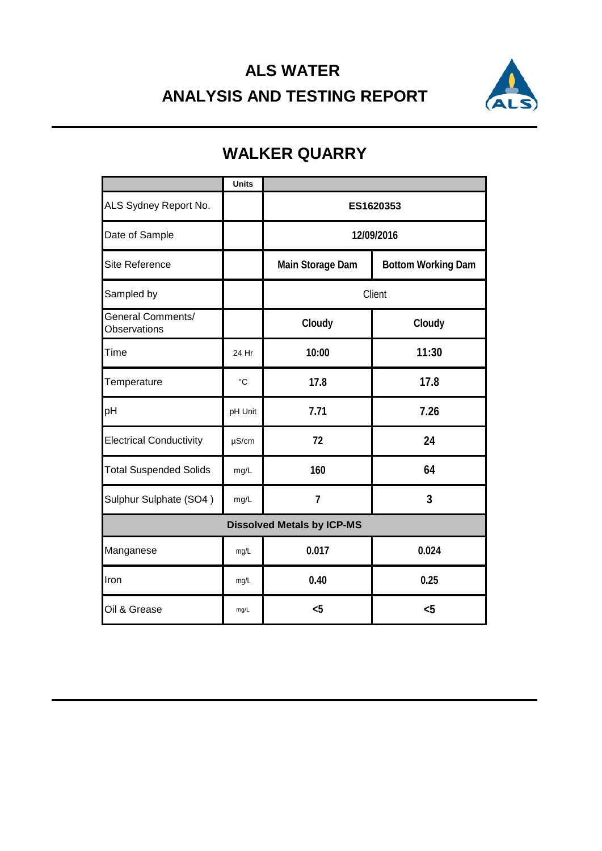# **ALS WATER ANALYSIS AND TESTING REPORT**



### **Units** 24 Hr °C pH Unit µS/cm mg/L mg/L mg/L mg/L mg/L Iron **0.40 0.25** Oil & Grease **<5 <5** Sulphur Sulphate (SO4) *mg/L* 7 **3 Dissolved Metals by ICP-MS** Manganese **0.017 0.024** Electrical Conductivity **72 24** Total Suspended Solids mg/L 160 **160 64** Temperature **17.8 17.8** pH **7.71 7.26** General Comments/ Observations **Cloudy Cloudy** Time **10:00 11:30** Sampled by **Client** ALS Sydney Report No. **No. 1998 1200 1201 1201 1202 1303 1404** Date of Sample **12/09/2016** Site Reference **Main Storage Dam Bottom Working Dam**

## **WALKER QUARRY**